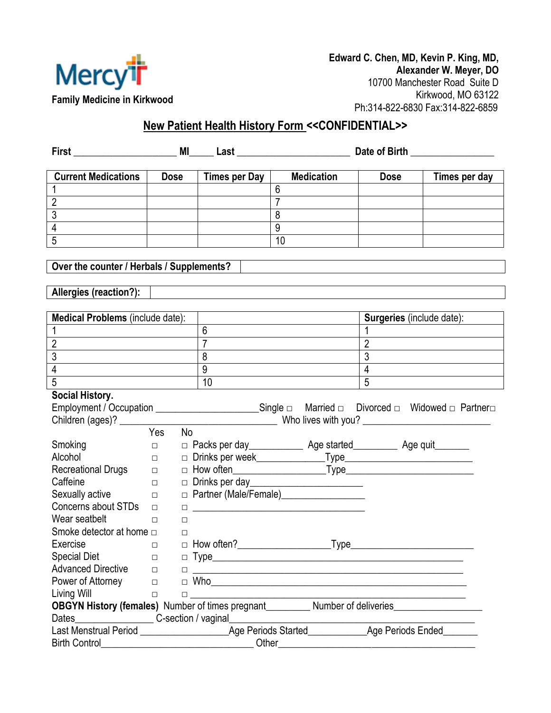

## **New Patient Health History Form <<CONFIDENTIAL>>**

| First                                                                      | MI<br>Last                                                                                                                                   |             |                                                                                                                               | Date of Birth<br><u> 1989 - Johann Barbara, martxa a</u><br><u> 1980 - Johann Stone, mars et al.</u> |                                  |                               |
|----------------------------------------------------------------------------|----------------------------------------------------------------------------------------------------------------------------------------------|-------------|-------------------------------------------------------------------------------------------------------------------------------|------------------------------------------------------------------------------------------------------|----------------------------------|-------------------------------|
| <b>Current Medications</b>                                                 |                                                                                                                                              | <b>Dose</b> | Times per Day                                                                                                                 | <b>Medication</b>                                                                                    | <b>Dose</b>                      | Times per day                 |
|                                                                            |                                                                                                                                              |             |                                                                                                                               | $6\phantom{1}6$                                                                                      |                                  |                               |
| $\overline{2}$                                                             |                                                                                                                                              |             |                                                                                                                               | $\overline{7}$                                                                                       |                                  |                               |
| $\overline{3}$                                                             |                                                                                                                                              |             |                                                                                                                               | 8                                                                                                    |                                  |                               |
| $\overline{4}$                                                             |                                                                                                                                              |             |                                                                                                                               | 9                                                                                                    |                                  |                               |
| $\overline{5}$                                                             |                                                                                                                                              |             |                                                                                                                               | 10                                                                                                   |                                  |                               |
|                                                                            |                                                                                                                                              |             |                                                                                                                               |                                                                                                      |                                  |                               |
| Over the counter / Herbals / Supplements?                                  |                                                                                                                                              |             |                                                                                                                               |                                                                                                      |                                  |                               |
|                                                                            |                                                                                                                                              |             |                                                                                                                               |                                                                                                      |                                  |                               |
| Allergies (reaction?):                                                     |                                                                                                                                              |             |                                                                                                                               |                                                                                                      |                                  |                               |
|                                                                            |                                                                                                                                              |             |                                                                                                                               |                                                                                                      |                                  |                               |
| Medical Problems (include date):                                           |                                                                                                                                              |             |                                                                                                                               |                                                                                                      | <b>Surgeries</b> (include date): |                               |
|                                                                            |                                                                                                                                              |             | $6\phantom{1}$                                                                                                                |                                                                                                      | $\mathbf{1}$                     |                               |
| $\overline{2}$                                                             |                                                                                                                                              |             |                                                                                                                               |                                                                                                      | $\overline{2}$                   |                               |
| $\overline{3}$                                                             |                                                                                                                                              |             | 8                                                                                                                             |                                                                                                      | $\overline{3}$                   |                               |
| $\overline{4}$                                                             |                                                                                                                                              |             | $\overline{9}$                                                                                                                |                                                                                                      | $\overline{4}$                   |                               |
| $\overline{5}$                                                             |                                                                                                                                              |             | 10                                                                                                                            |                                                                                                      | $\overline{5}$                   |                               |
| Social History.                                                            |                                                                                                                                              |             |                                                                                                                               |                                                                                                      |                                  |                               |
| Employment / Occupation ________________________________Single □ Married □ |                                                                                                                                              |             |                                                                                                                               |                                                                                                      |                                  | Divorced □ Widowed □ Partner□ |
|                                                                            |                                                                                                                                              |             |                                                                                                                               |                                                                                                      |                                  |                               |
|                                                                            | Yes                                                                                                                                          | No          |                                                                                                                               |                                                                                                      |                                  |                               |
| Smoking                                                                    | $\Box$                                                                                                                                       |             |                                                                                                                               | $\Box$ Packs per day _______________ Age started ____________ Age quit ________                      |                                  |                               |
| Alcohol                                                                    | $\Box$                                                                                                                                       |             |                                                                                                                               |                                                                                                      |                                  |                               |
| <b>Recreational Drugs</b>                                                  | $\Box$                                                                                                                                       |             |                                                                                                                               |                                                                                                      |                                  |                               |
| Caffeine                                                                   | $\Box$                                                                                                                                       |             |                                                                                                                               |                                                                                                      |                                  |                               |
| Sexually active<br>Concerns about STDs                                     | $\Box$                                                                                                                                       |             |                                                                                                                               |                                                                                                      |                                  |                               |
| Wear seatbelt                                                              | $\Box$                                                                                                                                       |             |                                                                                                                               |                                                                                                      |                                  |                               |
| Smoke detector at home $\Box$                                              | Ω.                                                                                                                                           | □<br>□      |                                                                                                                               |                                                                                                      |                                  |                               |
| Exercise                                                                   | $\Box$                                                                                                                                       |             | $\Box$ How often?                                                                                                             | $\llcorner$ Type $\llcorner$                                                                         |                                  |                               |
| <b>Special Diet</b>                                                        | $\Box$                                                                                                                                       |             |                                                                                                                               |                                                                                                      |                                  |                               |
| <b>Advanced Directive</b>                                                  | $\Box$                                                                                                                                       | $\Box$      |                                                                                                                               | <u> 2000 - Januar Alexander (h. 1888).</u>                                                           |                                  |                               |
| Power of Attorney                                                          | $\Box$                                                                                                                                       |             |                                                                                                                               |                                                                                                      |                                  |                               |
| Living Will                                                                | $\Box$                                                                                                                                       |             |                                                                                                                               |                                                                                                      |                                  |                               |
|                                                                            | 0 <u>____________________________</u><br>OBGYN History (females) Number of times pregnant__________ Number of deliveries____________________ |             |                                                                                                                               |                                                                                                      |                                  |                               |
|                                                                            |                                                                                                                                              |             |                                                                                                                               |                                                                                                      |                                  |                               |
|                                                                            |                                                                                                                                              |             |                                                                                                                               |                                                                                                      |                                  |                               |
| <b>Birth Control</b>                                                       |                                                                                                                                              |             | Other<br><u> 1980 - Johann Barn, mars ann an t-Amhain Aonaich an t-Amhain Aonaich an t-Amhain Aonaich an t-Amhain Aonaich</u> | <u> 1980 - Jan James James Barbara, martxa eta politikaria (h. 1980).</u>                            |                                  |                               |